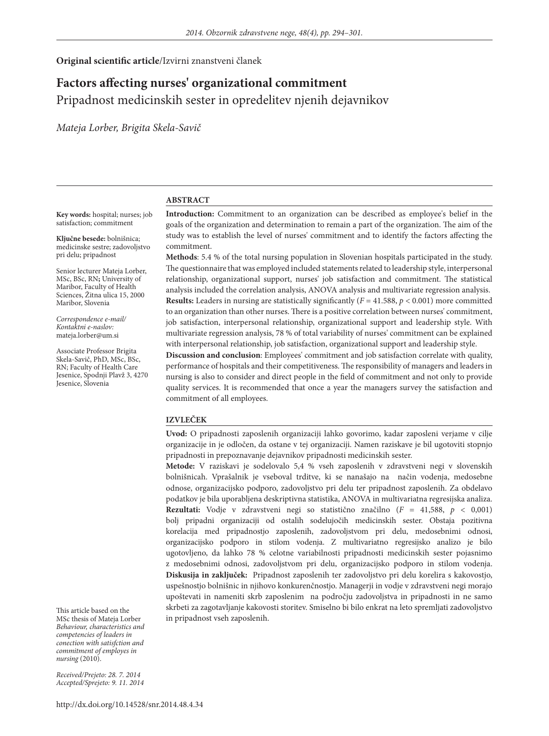**Original scientific article**/Izvirni znanstveni članek

# **Factors affecting nurses' organizational commitment**  Pripadnost medicinskih sester in opredelitev njenih dejavnikov

*Mateja Lorber, Brigita Skela-Savič*

#### **ABSTRACT**

**Key words:** hospital; nurses; job satisfaction; commitment

**Ključne besede:** bolnišnica; medicinske sestre; zadovoljstvo pri delu; pripadnost

Senior lecturer Mateja Lorber, MSc, BSc, RN**;** University of Maribor, Faculty of Health Sciences, Žitna ulica 15, 2000 Maribor, Slovenia

*Correspondence e-mail/ Kontaktni e-naslov:* mateja.lorber@um.si

Associate Professor Brigita Skela-Savič, PhD, MSc, BSc, RN; Faculty of Health Care Jesenice, Spodnji Plavž 3, 4270 Jesenice, Slovenia

**Introduction:** Commitment to an organization can be described as employee's belief in the goals of the organization and determination to remain a part of the organization. The aim of the study was to establish the level of nurses' commitment and to identify the factors affecting the commitment.

**Methods**: 5.4 % of the total nursing population in Slovenian hospitals participated in the study. The questionnaire that was employed included statements related to leadership style, interpersonal relationship, organizational support, nurses' job satisfaction and commitment. The statistical analysis included the correlation analysis, ANOVA analysis and multivariate regression analysis. **Results:** Leaders in nursing are statistically significantly  $(F = 41.588, p < 0.001)$  more committed to an organization than other nurses. There is a positive correlation between nurses' commitment, job satisfaction, interpersonal relationship, organizational support and leadership style. With multivariate regression analysis, 78 % of total variability of nurses' commitment can be explained with interpersonal relationship, job satisfaction, organizational support and leadership style.

**Discussion and conclusion**: Employees' commitment and job satisfaction correlate with quality, performance of hospitals and their competitiveness. The responsibility of managers and leaders in nursing is also to consider and direct people in the field of commitment and not only to provide quality services. It is recommended that once a year the managers survey the satisfaction and commitment of all employees.

#### **IZVLEČEK**

**Uvod:** O pripadnosti zaposlenih organizaciji lahko govorimo, kadar zaposleni verjame v cilje organizacije in je odločen, da ostane v tej organizaciji. Namen raziskave je bil ugotoviti stopnjo pripadnosti in prepoznavanje dejavnikov pripadnosti medicinskih sester.

**Metode:** V raziskavi je sodelovalo 5,4 % vseh zaposlenih v zdravstveni negi v slovenskih bolnišnicah. Vprašalnik je vseboval trditve, ki se nanašajo na način vodenja, medosebne odnose, organizacijsko podporo, zadovoljstvo pri delu ter pripadnost zaposlenih. Za obdelavo podatkov je bila uporabljena deskriptivna statistika, ANOVA in multivariatna regresijska analiza. **Rezultati:** Vodje v zdravstveni negi so statistično značilno (*F* = 41,588, *p* < 0,001) bolj pripadni organizaciji od ostalih sodelujočih medicinskih sester. Obstaja pozitivna korelacija med pripadnostjo zaposlenih, zadovoljstvom pri delu, medosebnimi odnosi, organizacijsko podporo in stilom vodenja. Z multivariatno regresijsko analizo je bilo ugotovljeno, da lahko 78 % celotne variabilnosti pripadnosti medicinskih sester pojasnimo z medosebnimi odnosi, zadovoljstvom pri delu, organizacijsko podporo in stilom vodenja. **Diskusija in zaključek:** Pripadnost zaposlenih ter zadovoljstvo pri delu korelira s kakovostjo, uspešnostjo bolnišnic in njihovo konkurenčnostjo. Managerji in vodje v zdravstveni negi morajo upoštevati in nameniti skrb zaposlenim na področju zadovoljstva in pripadnosti in ne samo skrbeti za zagotavljanje kakovosti storitev. Smiselno bi bilo enkrat na leto spremljati zadovoljstvo in pripadnost vseh zaposlenih.

This article based on the MSc thesis of Mateja Lorber *Behaviour, characteristics and competencies of leaders in conection with satisfction and commitment of employes in nursing* (2010).

*Received/Prejeto: 28. 7. 2014 Accepted/Sprejeto: 9. 11. 2014*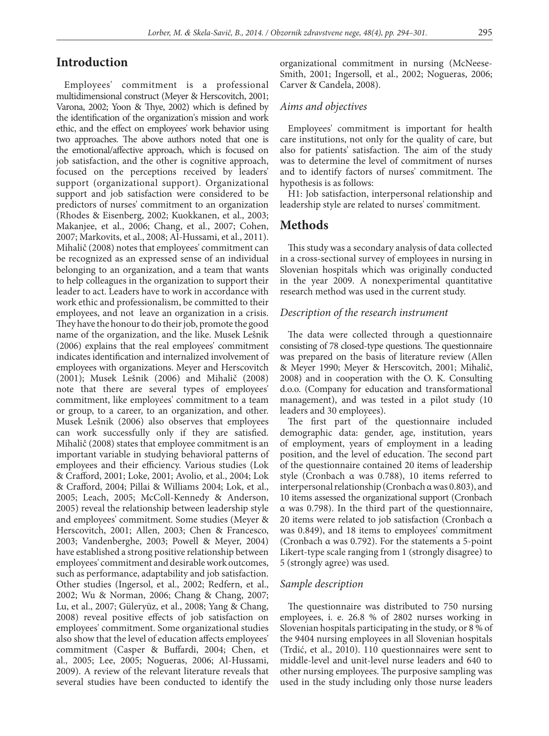# **Introduction**

Employees' commitment is a professional multidimensional construct (Meyer & Herscovitch, 2001; Varona, 2002; Yoon & Thye, 2002) which is defined by the identification of the organization's mission and work ethic, and the effect on employees' work behavior using two approaches. The above authors noted that one is the emotional/affective approach, which is focused on job satisfaction, and the other is cognitive approach, focused on the perceptions received by leaders' support (organizational support). Organizational support and job satisfaction were considered to be predictors of nurses' commitment to an organization (Rhodes & Eisenberg, 2002; Kuokkanen, et al., 2003; Makanjee, et al., 2006; Chang, et al., 2007; Cohen, 2007; Markovits, et al., 2008; Al-Hussami, et al., 2011). Mihalič (2008) notes that employees' commitment can be recognized as an expressed sense of an individual belonging to an organization, and a team that wants to help colleagues in the organization to support their leader to act. Leaders have to work in accordance with work ethic and professionalism, be committed to their employees, and not leave an organization in a crisis. They have the honour to do their job, promote the good name of the organization, and the like. Musek Lešnik (2006) explains that the real employees' commitment indicates identification and internalized involvement of employees with organizations. Meyer and Herscovitch (2001); Musek Lešnik (2006) and Mihalič (2008) note that there are several types of employees' commitment, like employees' commitment to a team or group, to a career, to an organization, and other. Musek Lešnik (2006) also observes that employees can work successfully only if they are satisfied. Mihalič (2008) states that employee commitment is an important variable in studying behavioral patterns of employees and their efficiency. Various studies (Lok & Crafford, 2001; Loke, 2001; Avolio, et al., 2004; Lok & Crafford, 2004; Pillai & Williams 2004; Lok, et al., 2005; Leach, 2005; McColl-Kennedy & Anderson, 2005) reveal the relationship between leadership style and employees' commitment. Some studies (Meyer & Herscovitch, 2001; Allen, 2003; Chen & Francesco, 2003; Vandenberghe, 2003; Powell & Meyer, 2004) have established a strong positive relationship between employees' commitment and desirable work outcomes, such as performance, adaptability and job satisfaction. Other studies (Ingersol, et al., 2002; Redfern, et al., 2002; Wu & Norman, 2006; Chang & Chang, 2007; Lu, et al., 2007; Güleryüz, et al., 2008; Yang & Chang, 2008) reveal positive effects of job satisfaction on employees' commitment. Some organizational studies also show that the level of education affects employees' commitment (Casper & Buffardi, 2004; Chen, et al., 2005; Lee, 2005; Nogueras, 2006; Al-Hussami, 2009). A review of the relevant literature reveals that several studies have been conducted to identify the organizational commitment in nursing (McNeese-Smith, 2001; Ingersoll, et al., 2002; Nogueras, 2006; Carver & Candela, 2008).

### *Aims and objectives*

Employees' commitment is important for health care institutions, not only for the quality of care, but also for patients' satisfaction. The aim of the study was to determine the level of commitment of nurses and to identify factors of nurses' commitment. The hypothesis is as follows:

H1: Job satisfaction, interpersonal relationship and leadership style are related to nurses' commitment.

## **Methods**

This study was a secondary analysis of data collected in a cross-sectional survey of employees in nursing in Slovenian hospitals which was originally conducted in the year 2009. A nonexperimental quantitative research method was used in the current study.

#### *Description of the research instrument*

The data were collected through a questionnaire consisting of 78 closed-type questions. The questionnaire was prepared on the basis of literature review (Allen & Meyer 1990; Meyer & Herscovitch, 2001; Mihalič, 2008) and in cooperation with the O. K. Consulting d.o.o. (Company for education and transformational management), and was tested in a pilot study (10 leaders and 30 employees).

The first part of the questionnaire included demographic data: gender, age, institution, years of employment, years of employment in a leading position, and the level of education. The second part of the questionnaire contained 20 items of leadership style (Cronbach α was 0.788), 10 items referred to interpersonal relationship (Cronbach α was 0.803), and 10 items assessed the organizational support (Cronbach α was 0.798). In the third part of the questionnaire, 20 items were related to job satisfaction (Cronbach α was 0.849), and 18 items to employees' commitment (Cronbach α was 0.792). For the statements a 5-point Likert-type scale ranging from 1 (strongly disagree) to 5 (strongly agree) was used.

## *Sample description*

The questionnaire was distributed to 750 nursing employees, i. e. 26.8 % of 2802 nurses working in Slovenian hospitals participating in the study, or 8 % of the 9404 nursing employees in all Slovenian hospitals (Trdić, et al., 2010). 110 questionnaires were sent to middle-level and unit-level nurse leaders and 640 to other nursing employees. The purposive sampling was used in the study including only those nurse leaders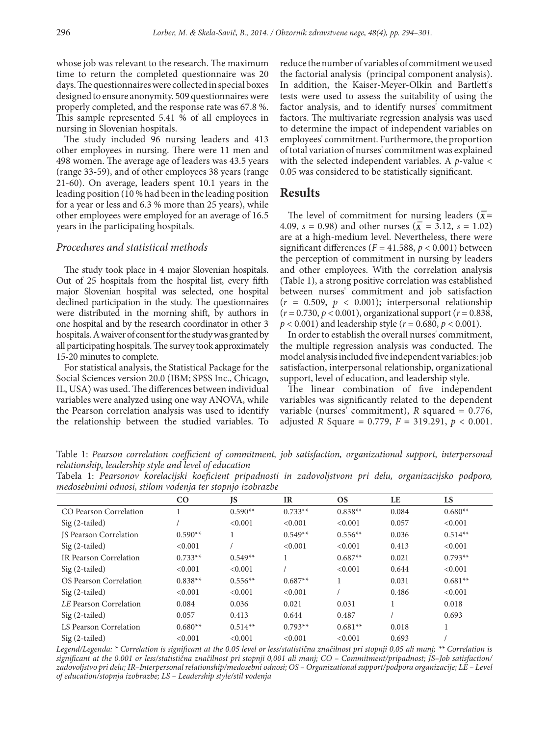whose job was relevant to the research. The maximum time to return the completed questionnaire was 20 days. The questionnaires were collected in special boxes designed to ensure anonymity. 509 questionnaires were properly completed, and the response rate was 67.8 %. This sample represented 5.41 % of all employees in nursing in Slovenian hospitals.

The study included 96 nursing leaders and 413 other employees in nursing. There were 11 men and 498 women. The average age of leaders was 43.5 years (range 33-59), and of other employees 38 years (range 21-60). On average, leaders spent 10.1 years in the leading position (10 % had been in the leading position for a year or less and 6.3 % more than 25 years), while other employees were employed for an average of 16.5 years in the participating hospitals.

### *Procedures and statistical methods*

The study took place in 4 major Slovenian hospitals. Out of 25 hospitals from the hospital list, every fifth major Slovenian hospital was selected, one hospital declined participation in the study. The questionnaires were distributed in the morning shift, by authors in one hospital and by the research coordinator in other 3 hospitals. A waiver of consent for the study was granted by all participating hospitals. The survey took approximately 15-20 minutes to complete.

For statistical analysis, the Statistical Package for the Social Sciences version 20.0 (IBM; SPSS Inc., Chicago, IL, USA) was used. The differences between individual variables were analyzed using one way ANOVA, while the Pearson correlation analysis was used to identify the relationship between the studied variables. To reduce the number of variables of commitment we used the factorial analysis (principal component analysis). In addition, the Kaiser-Meyer-Olkin and Bartlett's tests were used to assess the suitability of using the factor analysis, and to identify nurses' commitment factors. The multivariate regression analysis was used to determine the impact of independent variables on employees' commitment. Furthermore, the proportion of total variation of nurses' commitment was explained with the selected independent variables. A *p*-value < 0.05 was considered to be statistically significant.

## **Results**

The level of commitment for nursing leaders ( $\bar{x}$ = 4.09,  $s = 0.98$ ) and other nurses ( $\bar{x} = 3.12$ ,  $s = 1.02$ ) are at a high-medium level. Nevertheless, there were significant differences ( $F = 41.588$ ,  $p < 0.001$ ) between the perception of commitment in nursing by leaders and other employees. With the correlation analysis (Table 1), a strong positive correlation was established between nurses' commitment and job satisfaction  $(r = 0.509, p < 0.001)$ ; interpersonal relationship (*r* = 0.730, *p* < 0.001), organizational support (*r* = 0.838, *p* < 0.001) and leadership style (*r* = 0.680, *p* < 0.001).

In order to establish the overall nurses' commitment, the multiple regression analysis was conducted. The model analysis included five independent variables: job satisfaction, interpersonal relationship, organizational support, level of education, and leadership style.

The linear combination of five independent variables was significantly related to the dependent variable (nurses' commitment), *R* squared = 0.776, adjusted *R* Square = 0.779, *F* = 319.291, *p* < 0.001.

Table 1: *Pearson correlation coefficient of commitment, job satisfaction, organizational support, interpersonal relationship, leadership style and level of education*

Tabela 1: *Pearsonov korelacijski koeficient pripadnosti in zadovoljstvom pri delu, organizacijsko podporo, medosebnimi odnosi, stilom vodenja ter stopnjo izobrazbe*

|                               | CO        | JS        | <b>IR</b> | <b>OS</b> | LE    | <b>LS</b> |
|-------------------------------|-----------|-----------|-----------|-----------|-------|-----------|
| CO Pearson Correlation        |           | $0.590**$ | $0.733**$ | $0.838**$ | 0.084 | $0.680**$ |
| $Sig(2-tailed)$               |           | < 0.001   | < 0.001   | < 0.001   | 0.057 | < 0.001   |
| <b>IS Pearson Correlation</b> | $0.590**$ |           | $0.549**$ | $0.556**$ | 0.036 | $0.514**$ |
| Sig (2-tailed)                | < 0.001   |           | < 0.001   | < 0.001   | 0.413 | < 0.001   |
| IR Pearson Correlation        | $0.733**$ | $0.549**$ | л.        | $0.687**$ | 0.021 | $0.793**$ |
| Sig (2-tailed)                | < 0.001   | < 0.001   |           | < 0.001   | 0.644 | < 0.001   |
| OS Pearson Correlation        | $0.838**$ | $0.556**$ | $0.687**$ |           | 0.031 | $0.681**$ |
| Sig (2-tailed)                | < 0.001   | < 0.001   | < 0.001   |           | 0.486 | < 0.001   |
| LE Pearson Correlation        | 0.084     | 0.036     | 0.021     | 0.031     |       | 0.018     |
| $Sig(2-tailed)$               | 0.057     | 0.413     | 0.644     | 0.487     |       | 0.693     |
| LS Pearson Correlation        | $0.680**$ | $0.514**$ | $0.793**$ | $0.681**$ | 0.018 |           |
| $Sig(2-tailed)$               | < 0.001   | < 0.001   | < 0.001   | < 0.001   | 0.693 |           |

*Legend/Legenda: \* Correlation is significant at the 0.05 level or less/statistična značilnost pri stopnji 0,05 ali manj; \*\* Correlation is significant at the 0.001 or less/statistična značilnost pri stopnji 0,001 ali manj; CO – Commitment/pripadnost; JS–Job satisfaction/ zadovoljstvo pri delu; IR–Interpersonal relationship/medosebni odnosi; OS – Organizational support/podpora organizacije; LE – Level of education/stopnja izobrazbe; LS – Leadership style/stil vodenja*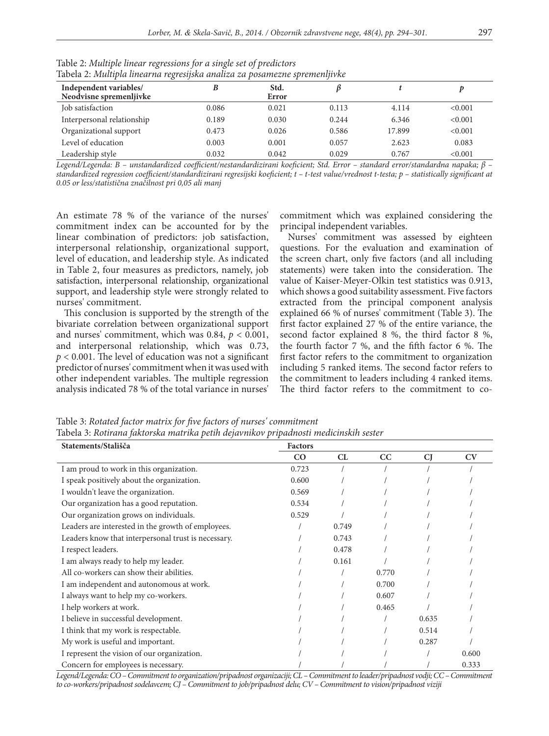| $1$ арста 2, типири инсигни техтемуми иншиги ги розителне зртенитироме<br>Independent variables/ |       | Std.  |       |        |         |
|--------------------------------------------------------------------------------------------------|-------|-------|-------|--------|---------|
| Neodvisne spremenljivke                                                                          |       | Error |       |        |         |
| Job satisfaction                                                                                 | 0.086 | 0.021 | 0.113 | 4.114  | < 0.001 |
| Interpersonal relationship                                                                       | 0.189 | 0.030 | 0.244 | 6.346  | < 0.001 |
| Organizational support                                                                           | 0.473 | 0.026 | 0.586 | 17.899 | < 0.001 |
| Level of education                                                                               | 0.003 | 0.001 | 0.057 | 2.623  | 0.083   |
| Leadership style                                                                                 | 0.032 | 0.042 | 0.029 | 0.767  | < 0.001 |

Table 2: *Multiple linear regressions for a single set of predictors* Tabela 2: *Multipla linearna regresijska analiza za posamezne spremenljivke*

*Legend/Legenda: B – unstandardized coefficient/nestandardizirani koeficient; Std. Error – standard error/standardna napaka; β – standardized regression coefficient/standardizirani regresijski koeficient; t – t-test value/vrednost t-testa; p – statistically significant at 0.05 or less/statistična značilnost pri 0,05 ali manj*

An estimate 78 % of the variance of the nurses' commitment index can be accounted for by the linear combination of predictors: job satisfaction, interpersonal relationship, organizational support, level of education, and leadership style. As indicated in Table 2, four measures as predictors, namely, job satisfaction, interpersonal relationship, organizational support, and leadership style were strongly related to nurses' commitment.

This conclusion is supported by the strength of the bivariate correlation between organizational support and nurses' commitment, which was 0.84,  $p < 0.001$ , and interpersonal relationship, which was 0.73, *p* < 0.001. The level of education was not a significant predictor of nurses' commitment when it was used with other independent variables. The multiple regression analysis indicated 78 % of the total variance in nurses'

commitment which was explained considering the principal independent variables.

Nurses' commitment was assessed by eighteen questions. For the evaluation and examination of the screen chart, only five factors (and all including statements) were taken into the consideration. The value of Kaiser-Meyer-Olkin test statistics was 0.913, which shows a good suitability assessment. Five factors extracted from the principal component analysis explained 66 % of nurses' commitment (Table 3). The first factor explained 27 % of the entire variance, the second factor explained 8 %, the third factor 8 %, the fourth factor 7 %, and the fifth factor 6 %. The first factor refers to the commitment to organization including 5 ranked items. The second factor refers to the commitment to leaders including 4 ranked items. The third factor refers to the commitment to co-

Table 3: *Rotated factor matrix for five factors of nurses' commitment* Tabela 3: *Rotirana faktorska matrika petih dejavnikov pripadnosti medicinskih sester*

| Statements/Stališča                                 | <b>Factors</b> |       |       |           |       |
|-----------------------------------------------------|----------------|-------|-------|-----------|-------|
|                                                     | CO             | CL    | CC    | <b>CJ</b> | CV    |
| I am proud to work in this organization.            | 0.723          |       |       |           |       |
| I speak positively about the organization.          | 0.600          |       |       |           |       |
| I wouldn't leave the organization.                  | 0.569          |       |       |           |       |
| Our organization has a good reputation.             | 0.534          |       |       |           |       |
| Our organization grows on individuals.              | 0.529          |       |       |           |       |
| Leaders are interested in the growth of employees.  |                | 0.749 |       |           |       |
| Leaders know that interpersonal trust is necessary. |                | 0.743 |       |           |       |
| I respect leaders.                                  |                | 0.478 |       |           |       |
| I am always ready to help my leader.                |                | 0.161 |       |           |       |
| All co-workers can show their abilities.            |                |       | 0.770 |           |       |
| I am independent and autonomous at work.            |                |       | 0.700 |           |       |
| I always want to help my co-workers.                |                |       | 0.607 |           |       |
| I help workers at work.                             |                |       | 0.465 |           |       |
| I believe in successful development.                |                |       |       | 0.635     |       |
| I think that my work is respectable.                |                |       |       | 0.514     |       |
| My work is useful and important.                    |                |       |       | 0.287     |       |
| I represent the vision of our organization.         |                |       |       |           | 0.600 |
| Concern for employees is necessary.                 |                |       |       |           | 0.333 |

*Legend/Legenda: CO – Commitment to organization/pripadnost organizaciji; CL – Commitment to leader/pripadnost vodji; CC – Commitment to co-workers/pripadnost sodelavcem; CJ – Commitment to job/pripadnost delu; CV – Commitment to vision/pripadnost viziji*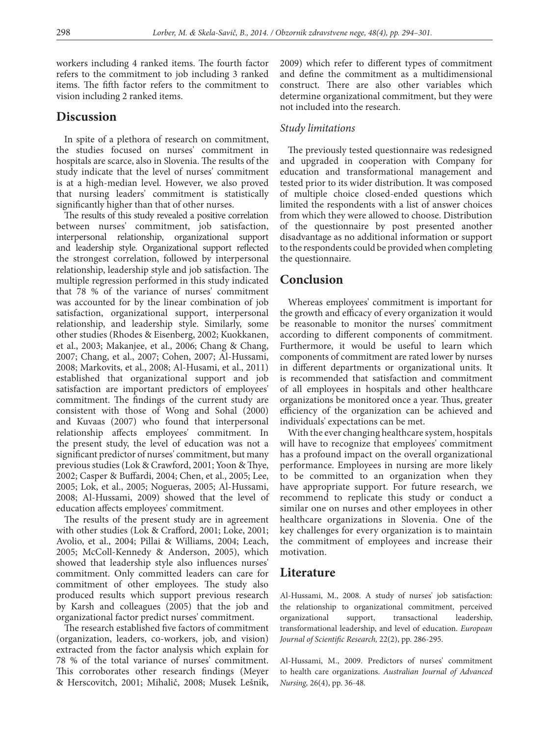workers including 4 ranked items. The fourth factor refers to the commitment to job including 3 ranked items. The fifth factor refers to the commitment to vision including 2 ranked items.

# **Discussion**

In spite of a plethora of research on commitment, the studies focused on nurses' commitment in hospitals are scarce, also in Slovenia. The results of the study indicate that the level of nurses' commitment is at a high-median level. However, we also proved that nursing leaders' commitment is statistically significantly higher than that of other nurses.

The results of this study revealed a positive correlation between nurses' commitment, job satisfaction, interpersonal relationship, organizational support and leadership style. Organizational support reflected the strongest correlation, followed by interpersonal relationship, leadership style and job satisfaction. The multiple regression performed in this study indicated that 78 % of the variance of nurses' commitment was accounted for by the linear combination of job satisfaction, organizational support, interpersonal relationship, and leadership style. Similarly, some other studies (Rhodes & Eisenberg, 2002; Kuokkanen, et al., 2003; Makanjee, et al., 2006; Chang & Chang, 2007; Chang, et al., 2007; Cohen, 2007; Al-Hussami, 2008; Markovits, et al., 2008; Al-Husami, et al., 2011) established that organizational support and job satisfaction are important predictors of employees' commitment. The findings of the current study are consistent with those of Wong and Sohal (2000) and Kuvaas (2007) who found that interpersonal relationship affects employees' commitment. In the present study, the level of education was not a significant predictor of nurses' commitment, but many previous studies (Lok & Crawford, 2001; Yoon & Thye, 2002; Casper & Buffardi, 2004; Chen, et al., 2005; Lee, 2005; Lok, et al., 2005; Nogueras, 2005; Al-Hussami, 2008; Al-Hussami, 2009) showed that the level of education affects employees' commitment.

The results of the present study are in agreement with other studies (Lok & Crafford, 2001; Loke, 2001; Avolio, et al., 2004; Pillai & Williams, 2004; Leach, 2005; McColl-Kennedy & Anderson, 2005), which showed that leadership style also influences nurses' commitment. Only committed leaders can care for commitment of other employees. The study also produced results which support previous research by Karsh and colleagues (2005) that the job and organizational factor predict nurses' commitment.

The research established five factors of commitment (organization, leaders, co-workers, job, and vision) extracted from the factor analysis which explain for 78 % of the total variance of nurses' commitment. This corroborates other research findings (Meyer & Herscovitch, 2001; Mihalič, 2008; Musek Lešnik, 2009) which refer to different types of commitment and define the commitment as a multidimensional construct. There are also other variables which determine organizational commitment, but they were not included into the research.

## *Study limitations*

The previously tested questionnaire was redesigned and upgraded in cooperation with Company for education and transformational management and tested prior to its wider distribution. It was composed of multiple choice closed-ended questions which limited the respondents with a list of answer choices from which they were allowed to choose. Distribution of the questionnaire by post presented another disadvantage as no additional information or support to the respondents could be provided when completing the questionnaire.

# **Conclusion**

Whereas employees' commitment is important for the growth and efficacy of every organization it would be reasonable to monitor the nurses' commitment according to different components of commitment. Furthermore, it would be useful to learn which components of commitment are rated lower by nurses in different departments or organizational units. It is recommended that satisfaction and commitment of all employees in hospitals and other healthcare organizations be monitored once a year. Thus, greater efficiency of the organization can be achieved and individuals' expectations can be met.

With the ever changing healthcare system, hospitals will have to recognize that employees' commitment has a profound impact on the overall organizational performance. Employees in nursing are more likely to be committed to an organization when they have appropriate support. For future research, we recommend to replicate this study or conduct a similar one on nurses and other employees in other healthcare organizations in Slovenia. One of the key challenges for every organization is to maintain the commitment of employees and increase their motivation.

# **Literature**

Al-Hussami, M., 2008. A study of nurses' job satisfaction: the relationship to organizational commitment, perceived organizational support, transactional leadership, transformational leadership, and level of education. *European Journal of Scientific Research,* 22(2), pp. 286-295.

Al-Hussami, M., 2009. Predictors of nurses' commitment to health care organizations. *Australian Journal of Advanced Nursing,* 26(4), pp. 36-48.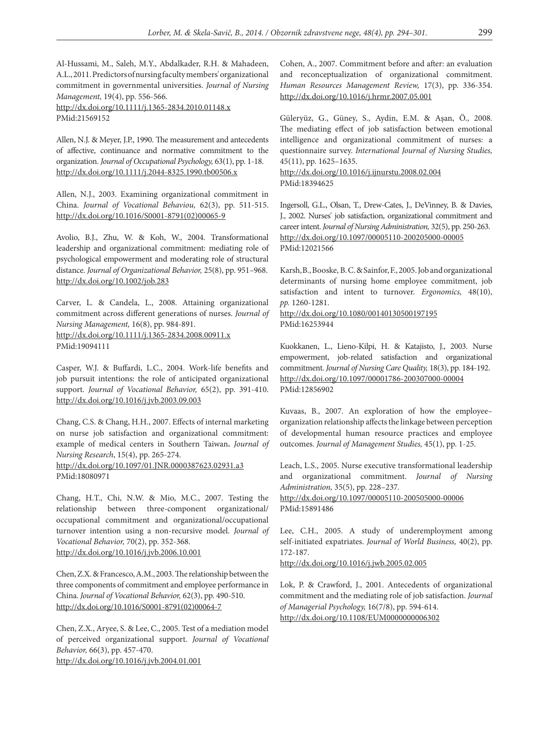Al-Hussami, M., Saleh, M.Y., Abdalkader, R.H. & Mahadeen, A.L., 2011. Predictors of nursing faculty members' organizational commitment in governmental universities. *Journal of Nursing Management,* 19(4), pp. 556-566.

http://dx.doi.org/10.1111/j.1365-2834.2010.01148.x PMid:21569152

Allen, N.J. & Meyer, J.P., 1990. The measurement and antecedents of affective, continuance and normative commitment to the organization. *Journal of Occupational Psychology,* 63(1), pp. 1-18. http://dx.doi.org/10.1111/j.2044-8325.1990.tb00506.x

Allen, N.J., 2003. Examining organizational commitment in China. *Journal of Vocational Behaviou,* 62(3), pp. 511-515. http://dx.doi.org/10.1016/S0001-8791(02)00065-9

Avolio, B.J., Zhu, W. & Koh, W., 2004. Transformational leadership and organizational commitment: mediating role of psychological empowerment and moderating role of structural distance. *Journal of Organizational Behavior,* 25(8), pp. 951–968. http://dx.doi.org/10.1002/job.283

Carver, L. & Candela, L., 2008. Attaining organizational commitment across different generations of nurses. *Journal of Nursing Management,* 16(8), pp. 984-891. http://dx.doi.org/10.1111/j.1365-2834.2008.00911.x PMid:19094111

Casper, W.J. & Buffardi, L.C., 2004. Work-life benefits and job pursuit intentions: the role of anticipated organizational support. *Journal of Vocational Behavior,* 65(2), pp. 391-410. http://dx.doi.org/10.1016/j.jvb.2003.09.003

Chang, C.S. & Chang, H.H., 2007. Effects of internal marketing on nurse job satisfaction and organizational commitment: example of medical centers in Southern Taiwan**.** *Journal of Nursing Research*, 15(4), pp. 265-274.

http://dx.doi.org/10.1097/01.JNR.0000387623.02931.a3 PMid:18080971

Chang, H.T., Chi, N.W. & Mio, M.C., 2007. Testing the relationship between three-component organizational/ occupational commitment and organizational/occupational turnover intention using a non-recursive model. *Journal of Vocational Behavior,* 70(2), pp. 352-368. http://dx.doi.org/10.1016/j.jvb.2006.10.001

Chen, Z.X. & Francesco, A.M., 2003. The relationship between the three components of commitment and employee performance in China. *Journal of Vocational Behavior,* 62(3), pp. 490-510. http://dx.doi.org/10.1016/S0001-8791(02)00064-7

Chen, Z.X., Aryee, S. & Lee, C., 2005. Test of a mediation model of perceived organizational support. *Journal of Vocational Behavior,* 66(3), pp. 457-470. http://dx.doi.org/10.1016/j.jvb.2004.01.001

Cohen, A., 2007. Commitment before and after: an evaluation and reconceptualization of organizational commitment. *Human Resources Management Review,* 17(3), pp. 336-354. http://dx.doi.org/10.1016/j.hrmr.2007.05.001

Güleryüz, G., Güney, S., Aydin, E.M. & Aşan, Ö., 2008. The mediating effect of job satisfaction between emotional intelligence and organizational commitment of nurses: a questionnaire survey. *International Journal of Nursing Studies,* 45(11), pp. 1625–1635.

http://dx.doi.org/10.1016/j.ijnurstu.2008.02.004 PMid:18394625

Ingersoll, G.L., Olsan, T., Drew-Cates, J., DeVinney, B. & Davies, J., 2002. Nurses' job satisfaction, organizational commitment and career intent. *Journal of Nursing Administration,* 32(5), pp. 250-263. http://dx.doi.org/10.1097/00005110-200205000-00005 PMid:12021566

Karsh,B., Booske, B. C. & Sainfor, F., 2005. Job and organizational determinants of nursing home employee commitment, job satisfaction and intent to turnover. *Ergonomics,* 48(10), *pp.* 1260-1281.

http://dx.doi.org/10.1080/00140130500197195 PMid:16253944

Kuokkanen, L., Lieno-Kilpi, H. & Katajisto, J., 2003. Nurse empowerment, job-related satisfaction and organizational commitment. *Journal of Nursing Care Quality,* 18(3), pp. 184-192. http://dx.doi.org/10.1097/00001786-200307000-00004 PMid:12856902

Kuvaas, B., 2007. An exploration of how the employee– organization relationship affects the linkage between perception of developmental human resource practices and employee outcomes. *Journal of Management Studies,* 45(1), pp. 1-25.

Leach, L.S., 2005. Nurse executive transformational leadership and organizational commitment. *Journal of Nursing Administration,* 35(5), pp. 228–237*.* 

http://dx.doi.org/10.1097/00005110-200505000-00006 PMid:15891486

Lee, C.H., 2005. A study of underemployment among self-initiated expatriates. *Journal of World Business,* 40(2), pp. 172-187.

http://dx.doi.org/10.1016/j.jwb.2005.02.005

Lok, P. & Crawford, J., 2001. Antecedents of organizational commitment and the mediating role of job satisfaction. *Journal of Managerial Psychology,* 16(7/8), pp. 594-614. http://dx.doi.org/10.1108/EUM0000000006302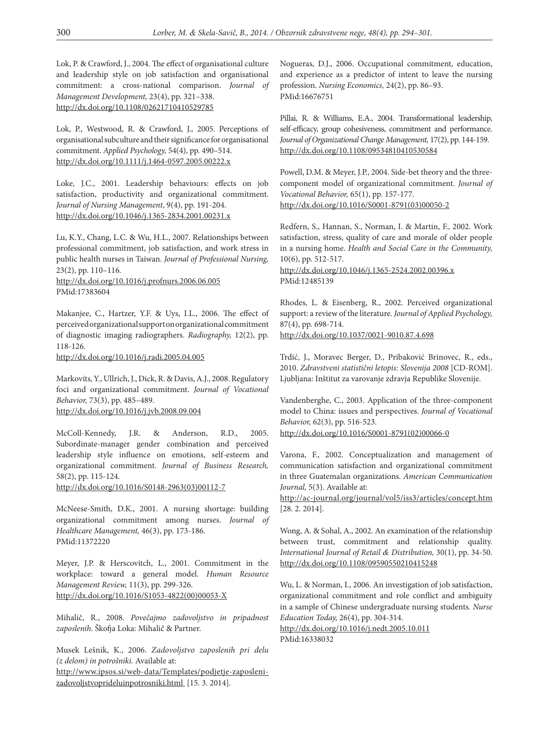Lok, P. & Crawford, J., 2004. The effect of organisational culture and leadership style on job satisfaction and organisational commitment: a cross-national comparison. *Journal of Management Development,* 23(4), pp. 321–338. http://dx.doi.org/10.1108/02621710410529785

Lok, P., Westwood, R. & Crawford, J., 2005. Perceptions of organisational subculture and their significance for organisational commitment. *Applied Psychology,* 54(4), pp. 490–514. http://dx.doi.org/10.1111/j.1464-0597.2005.00222.x

Loke, J.C., 2001. Leadership behaviours: effects on job satisfaction, productivity and organizational commitment. *Journal of Nursing Management*, 9(4), pp. 191-204. http://dx.doi.org/10.1046/j.1365-2834.2001.00231.x

Lu, K.Y., Chang, L.C. & Wu, H.L., 2007. Relationships between professional commitment, job satisfaction, and work stress in public health nurses in Taiwan. *Journal of Professional Nursing,* 23(2), pp. 110–116*.*  http://dx.doi.org/10.1016/j.profnurs.2006.06.005 PMid:17383604

Makanjee, C., Hartzer, Y.F. & Uys, I.L., 2006. The effect of perceived organizational support on organizational commitment of diagnostic imaging radiographers. *Radiography,* 12(2), pp. 118-126.

http://dx.doi.org/10.1016/j.radi.2005.04.005

Markovits, Y., Ullrich, J., Dick, R. & Davis, A.J., 2008. Regulatory foci and organizational commitment. *Journal of Vocational Behavior,* 73(3), pp. 485–489. http://dx.doi.org/10.1016/j.jvb.2008.09.004

McColl-Kennedy, J.R. & Anderson, R.D., 2005. Subordinate-manager gender combination and perceived leadership style influence on emotions, self-esteem and organizational commitment. *Journal of Business Research,*  58(2), pp. 115-124.

http://dx.doi.org/10.1016/S0148-2963(03)00112-7

McNeese-Smith, D.K., 2001. A nursing shortage: building organizational commitment among nurses. *Journal of Healthcare Management,* 46(3), pp. 173-186. PMid:11372220

Meyer, J.P. & Herscovitch, L., 2001. Commitment in the workplace: toward a general model. *Human Resource Management Review,* 11(3), pp. 299-326. http://dx.doi.org/10.1016/S1053-4822(00)00053-X

Mihalič, R., 2008. *Povečajmo zadovoljstvo in pripadnost zaposlenih*. Škofja Loka: Mihalič & Partner.

Musek Lešnik, K., 2006. *Zadovoljstvo zaposlenih pri delu (z delom) in potrošniki.* Available at: http://www.ipsos.si/web-data/Templates/podjetje-zaposlenizadovoljstvoprideluinpotrosniki.html [15. 3. 2014].

Nogueras, D.J., 2006. Occupational commitment, education, and experience as a predictor of intent to leave the nursing profession. *Nursing Economics,* 24(2), pp. 86–93. PMid:16676751

Pillai, R. & Williams, E.A., 2004. Transformational leadership, self-efficacy, group cohesiveness, commitment and performance. *Journal of Organizational Change Management,* 17(2), pp. 144-159. http://dx.doi.org/10.1108/09534810410530584

Powell, D.M. & Meyer, J.P., 2004. Side-bet theory and the threecomponent model of organizational commitment. *Journal of Vocational Behavior,* 65(1), pp. 157-177. http://dx.doi.org/10.1016/S0001-8791(03)00050-2

Redfern, S., Hannan, S., Norman, I. & Martin, F., 2002. Work satisfaction, stress, quality of care and morale of older people in a nursing home. *Health and Social Care in the Community,*  10(6), pp. 512-517.

http://dx.doi.org/10.1046/j.1365-2524.2002.00396.x PMid:12485139

Rhodes, L. & Eisenberg, R., 2002. Perceived organizational support: a review of the literature. *Journal of Applied Psychology,* 87(4), pp. 698-714.

http://dx.doi.org/10.1037/0021-9010.87.4.698

Trdić, J., Moravec Berger, D., Pribaković Brinovec, R., eds., 2010. *Zdravstveni statistični letopis: Slovenija 2008* [CD-ROM]. Ljubljana: Inštitut za varovanje zdravja Republike Slovenije.

Vandenberghe, C., 2003. Application of the three-component model to China: issues and perspectives. *Journal of Vocational Behavior,* 62(3), pp. 516-523. http://dx.doi.org/10.1016/S0001-8791(02)00066-0

Varona, F., 2002. Conceptualization and management of communication satisfaction and organizational commitment in three Guatemalan organizations. *American Communication Journal,* 5(3). Available at:

http://ac-journal.org/journal/vol5/iss3/articles/concept.htm [28. 2. 2014].

Wong, A. & Sohal, A., 2002. An examination of the relationship between trust, commitment and relationship quality. *International Journal of Retail & Distribution,* 30(1), pp. 34-50. http://dx.doi.org/10.1108/09590550210415248

Wu, L. & Norman, I., 2006. An investigation of job satisfaction, organizational commitment and role conflict and ambiguity in a sample of Chinese undergraduate nursing students*. Nurse Education Today,* 26(4), pp. 304-314.

http://dx.doi.org/10.1016/j.nedt.2005.10.011 PMid:16338032